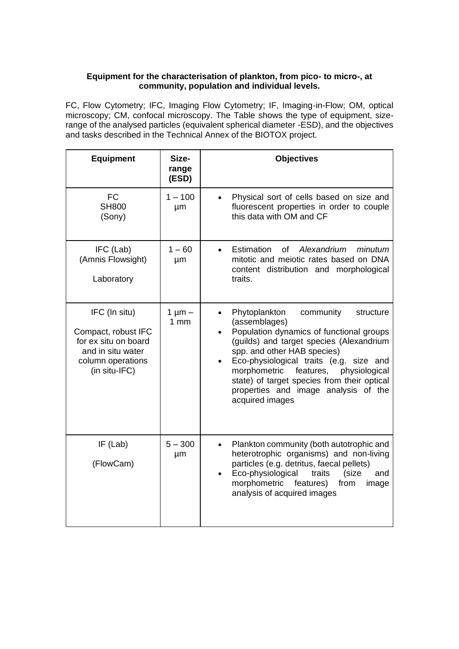## **Equipment for the characterisation of plankton, from pico- to micro-, at community, population and individual levels.**

FC, Flow Cytometry; IFC, Imaging Flow Cytometry; IF, Imaging-in-Flow; OM, optical microscopy; CM, confocal microscopy. The Table shows the type of equipment, sizerange of the analysed particles (equivalent spherical diameter -ESD), and the objectives and tasks described in the Technical Annex of the BIOTOX project.

| <b>Equipment</b>                                                                                                        | Size-<br>range<br>(ESD) | <b>Objectives</b>                                                                                                                                                                                                                                                                                                                                                               |
|-------------------------------------------------------------------------------------------------------------------------|-------------------------|---------------------------------------------------------------------------------------------------------------------------------------------------------------------------------------------------------------------------------------------------------------------------------------------------------------------------------------------------------------------------------|
| <b>FC</b><br><b>SH800</b><br>(Sony)                                                                                     | $1 - 100$<br>μm         | Physical sort of cells based on size and<br>fluorescent properties in order to couple<br>this data with OM and CF                                                                                                                                                                                                                                                               |
| IFC (Lab)<br>(Amnis Flowsight)<br>Laboratory                                                                            | $1 - 60$<br>μm          | Estimation<br>of<br>Alexandrium<br>minutum<br>mitotic and meiotic rates based on DNA<br>content distribution and morphological<br>traits.                                                                                                                                                                                                                                       |
| IFC (In situ)<br>Compact, robust IFC<br>for ex situ on board<br>and in situ water<br>column operations<br>(in situ-IFC) | $1 \mu m -$<br>1mm      | Phytoplankton<br>community<br>structure<br>(assemblages)<br>Population dynamics of functional groups<br>(guilds) and target species (Alexandrium<br>spp. and other HAB species)<br>Eco-physiological traits (e.g. size and<br>morphometric<br>features, physiological<br>state) of target species from their optical<br>properties and image analysis of the<br>acquired images |
| $IF$ (Lab)<br>(FlowCam)                                                                                                 | $5 - 300$<br>μm         | Plankton community (both autotrophic and<br>heterotrophic organisms) and non-living<br>particles (e.g. detritus, faecal pellets)<br>Eco-physiological<br>traits<br>(size<br>and<br>morphometric<br>features)<br>from<br>image<br>analysis of acquired images                                                                                                                    |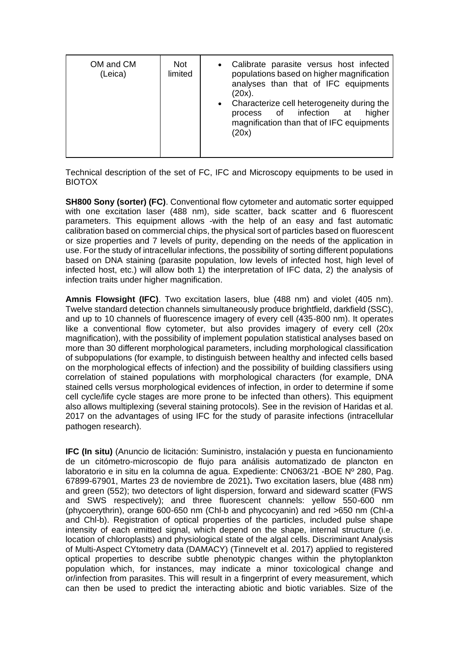| OM and CM<br>(Leica) | <b>Not</b><br>limited | Calibrate parasite versus host infected<br>$\bullet$<br>populations based on higher magnification<br>analyses than that of IFC equipments<br>$(20x)$ .<br>• Characterize cell heterogeneity during the<br>process of infection at<br>higher<br>magnification than that of IFC equipments<br>(20x) |
|----------------------|-----------------------|---------------------------------------------------------------------------------------------------------------------------------------------------------------------------------------------------------------------------------------------------------------------------------------------------|
|----------------------|-----------------------|---------------------------------------------------------------------------------------------------------------------------------------------------------------------------------------------------------------------------------------------------------------------------------------------------|

Technical description of the set of FC, IFC and Microscopy equipments to be used in BIOTOX

**SH800 Sony (sorter) (FC)**. Conventional flow cytometer and automatic sorter equipped with one excitation laser (488 nm), side scatter, back scatter and 6 fluorescent parameters. This equipment allows -with the help of an easy and fast automatic calibration based on commercial chips, the physical sort of particles based on fluorescent or size properties and 7 levels of purity, depending on the needs of the application in use. For the study of intracellular infections, the possibility of sorting different populations based on DNA staining (parasite population, low levels of infected host, high level of infected host, etc.) will allow both 1) the interpretation of IFC data, 2) the analysis of infection traits under higher magnification.

**Amnis Flowsight (IFC)**. Two excitation lasers, blue (488 nm) and violet (405 nm). Twelve standard detection channels simultaneously produce brightfield, darkfield (SSC), and up to 10 channels of fluorescence imagery of every cell (435-800 nm). It operates like a conventional flow cytometer, but also provides imagery of every cell (20x magnification), with the possibility of implement population statistical analyses based on more than 30 different morphological parameters, including morphological classification of subpopulations (for example, to distinguish between healthy and infected cells based on the morphological effects of infection) and the possibility of building classifiers using correlation of stained populations with morphological characters (for example, DNA stained cells versus morphological evidences of infection, in order to determine if some cell cycle/life cycle stages are more prone to be infected than others). This equipment also allows multiplexing (several staining protocols). See in the revision of Haridas et al. 2017 on the advantages of using IFC for the study of parasite infections (intracellular pathogen research).

**IFC (In situ)** (Anuncio de licitación: Suministro, instalación y puesta en funcionamiento de un citómetro-microscopio de flujo para análisis automatizado de plancton en laboratorio e in situ en la columna de agua. Expediente: CN063/21 -BOE Nº 280, Pag. 67899-67901, Martes 23 de noviembre de 2021)**.** Two excitation lasers, blue (488 nm) and green (552); two detectors of light dispersion, forward and sideward scatter (FWS and SWS respectively); and three fluorescent channels: yellow 550-600 nm (phycoerythrin), orange 600-650 nm (Chl-b and phycocyanin) and red >650 nm (Chl-a and Chl-b). Registration of optical properties of the particles, included pulse shape intensity of each emitted signal, which depend on the shape, internal structure (i.e. location of chloroplasts) and physiological state of the algal cells. Discriminant Analysis of Multi-Aspect CYtometry data (DAMACY) (Tinnevelt et al. 2017) applied to registered optical properties to describe subtle phenotypic changes within the phytoplankton population which, for instances, may indicate a minor toxicological change and or/infection from parasites. This will result in a fingerprint of every measurement, which can then be used to predict the interacting abiotic and biotic variables. Size of the